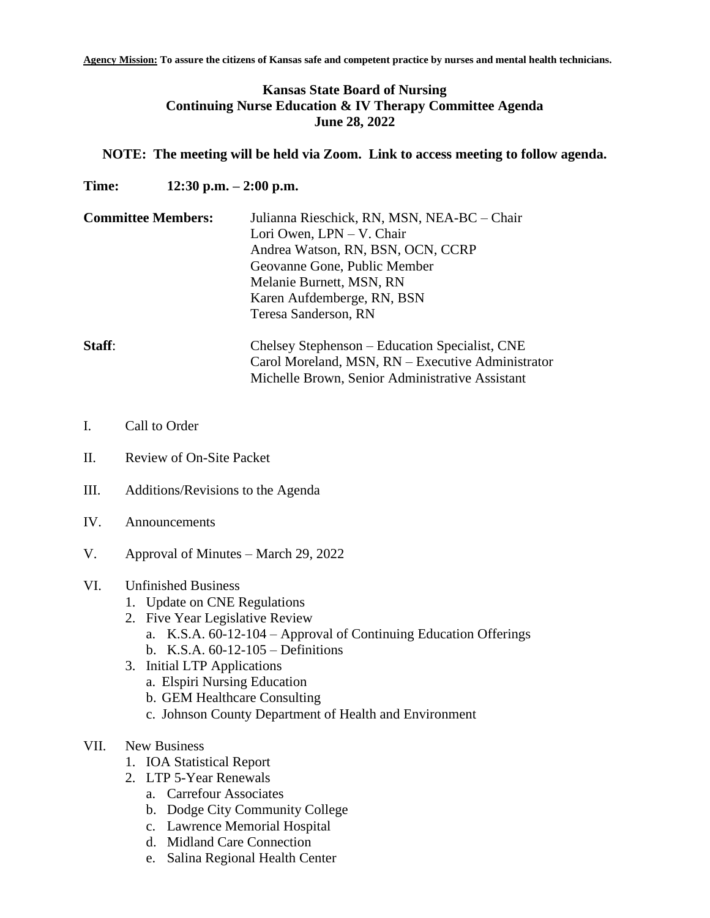# **Kansas State Board of Nursing Continuing Nurse Education & IV Therapy Committee Agenda June 28, 2022**

### **NOTE: The meeting will be held via Zoom. Link to access meeting to follow agenda.**

**Time: 12:30 p.m. – 2:00 p.m.**

| <b>Committee Members:</b>              | Julianna Rieschick, RN, MSN, NEA-BC - Chair<br>Lori Owen, LPN – V. Chair   |
|----------------------------------------|----------------------------------------------------------------------------|
|                                        | Andrea Watson, RN, BSN, OCN, CCRP                                          |
|                                        | Geovanne Gone, Public Member                                               |
|                                        | Melanie Burnett, MSN, RN                                                   |
|                                        | Karen Aufdemberge, RN, BSN                                                 |
|                                        | Teresa Sanderson, RN                                                       |
| $\mathbf{C}$ $\mathbf{A}$ $\mathbf{C}$ | $\alpha$ 1 $\alpha$ 1 $\alpha$ 1 $\alpha$ 1 $\alpha$ 1 $\alpha$ 1 $\alpha$ |

**Staff:** Chelsey Stephenson – Education Specialist, CNE Carol Moreland, MSN, RN – Executive Administrator Michelle Brown, Senior Administrative Assistant

- I. Call to Order
- II. Review of On-Site Packet
- III. Additions/Revisions to the Agenda
- IV. Announcements
- V. Approval of Minutes March 29, 2022

## VI. Unfinished Business

- 1. Update on CNE Regulations
- 2. Five Year Legislative Review
	- a. K.S.A. 60-12-104 Approval of Continuing Education Offerings
	- b. K.S.A. 60-12-105 Definitions
- 3. Initial LTP Applications
	- a. Elspiri Nursing Education
	- b. GEM Healthcare Consulting
	- c. Johnson County Department of Health and Environment
- VII. New Business
	- 1. IOA Statistical Report
	- 2. LTP 5-Year Renewals
		- a. Carrefour Associates
		- b. Dodge City Community College
		- c. Lawrence Memorial Hospital
		- d. Midland Care Connection
		- e. Salina Regional Health Center